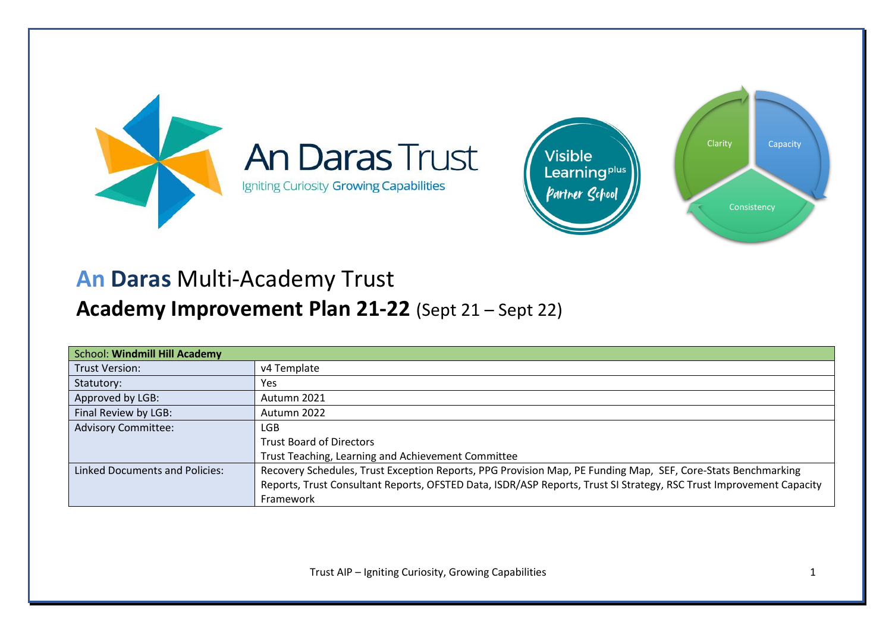

# **An Daras** Multi-Academy Trust

# **Academy Improvement Plan 21-22** (Sept 21 – Sept 22)

| <b>School: Windmill Hill Academy</b>  |                                                                                                                     |
|---------------------------------------|---------------------------------------------------------------------------------------------------------------------|
| <b>Trust Version:</b>                 | v4 Template                                                                                                         |
| Statutory:                            | <b>Yes</b>                                                                                                          |
| Approved by LGB:                      | Autumn 2021                                                                                                         |
| Final Review by LGB:                  | Autumn 2022                                                                                                         |
| <b>Advisory Committee:</b>            | LGB.                                                                                                                |
|                                       | <b>Trust Board of Directors</b>                                                                                     |
|                                       | Trust Teaching, Learning and Achievement Committee                                                                  |
| <b>Linked Documents and Policies:</b> | Recovery Schedules, Trust Exception Reports, PPG Provision Map, PE Funding Map, SEF, Core-Stats Benchmarking        |
|                                       | Reports, Trust Consultant Reports, OFSTED Data, ISDR/ASP Reports, Trust SI Strategy, RSC Trust Improvement Capacity |
|                                       | Framework                                                                                                           |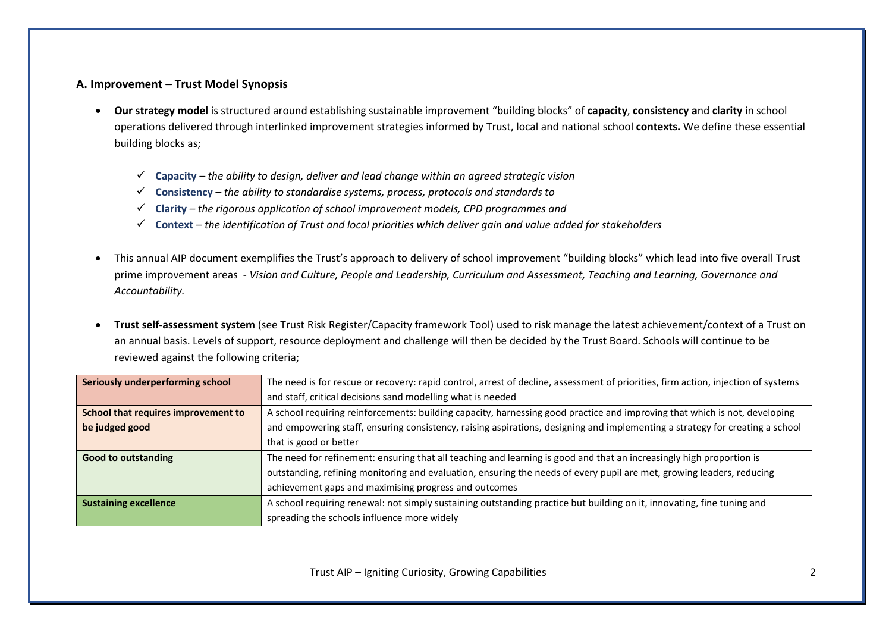## **A. Improvement – Trust Model Synopsis**

- **Our strategy model** is structured around establishing sustainable improvement "building blocks" of **capacity**, **consistency a**nd **clarity** in school operations delivered through interlinked improvement strategies informed by Trust, local and national school **contexts.** We define these essential building blocks as;
	- ✓ **Capacity** *– the ability to design, deliver and lead change within an agreed strategic vision*
	- ✓ **Consistency** *– the ability to standardise systems, process, protocols and standards to*
	- ✓ **Clarity** *– the rigorous application of school improvement models, CPD programmes and*
	- ✓ **Context** *– the identification of Trust and local priorities which deliver gain and value added for stakeholders*
- This annual AIP document exemplifies the Trust's approach to delivery of school improvement "building blocks" which lead into five overall Trust prime improvement areas - *Vision and Culture, People and Leadership, Curriculum and Assessment, Teaching and Learning, Governance and Accountability.*
- **Trust self-assessment system** (see Trust Risk Register/Capacity framework Tool) used to risk manage the latest achievement/context of a Trust on an annual basis. Levels of support, resource deployment and challenge will then be decided by the Trust Board. Schools will continue to be reviewed against the following criteria;

| Seriously underperforming school    | The need is for rescue or recovery: rapid control, arrest of decline, assessment of priorities, firm action, injection of systems |  |  |  |  |  |
|-------------------------------------|-----------------------------------------------------------------------------------------------------------------------------------|--|--|--|--|--|
|                                     | and staff, critical decisions sand modelling what is needed                                                                       |  |  |  |  |  |
| School that requires improvement to | A school requiring reinforcements: building capacity, harnessing good practice and improving that which is not, developing        |  |  |  |  |  |
| be judged good                      | and empowering staff, ensuring consistency, raising aspirations, designing and implementing a strategy for creating a school      |  |  |  |  |  |
|                                     | that is good or better                                                                                                            |  |  |  |  |  |
| <b>Good to outstanding</b>          | The need for refinement: ensuring that all teaching and learning is good and that an increasingly high proportion is              |  |  |  |  |  |
|                                     | outstanding, refining monitoring and evaluation, ensuring the needs of every pupil are met, growing leaders, reducing             |  |  |  |  |  |
|                                     | achievement gaps and maximising progress and outcomes                                                                             |  |  |  |  |  |
| <b>Sustaining excellence</b>        | A school requiring renewal: not simply sustaining outstanding practice but building on it, innovating, fine tuning and            |  |  |  |  |  |
|                                     | spreading the schools influence more widely                                                                                       |  |  |  |  |  |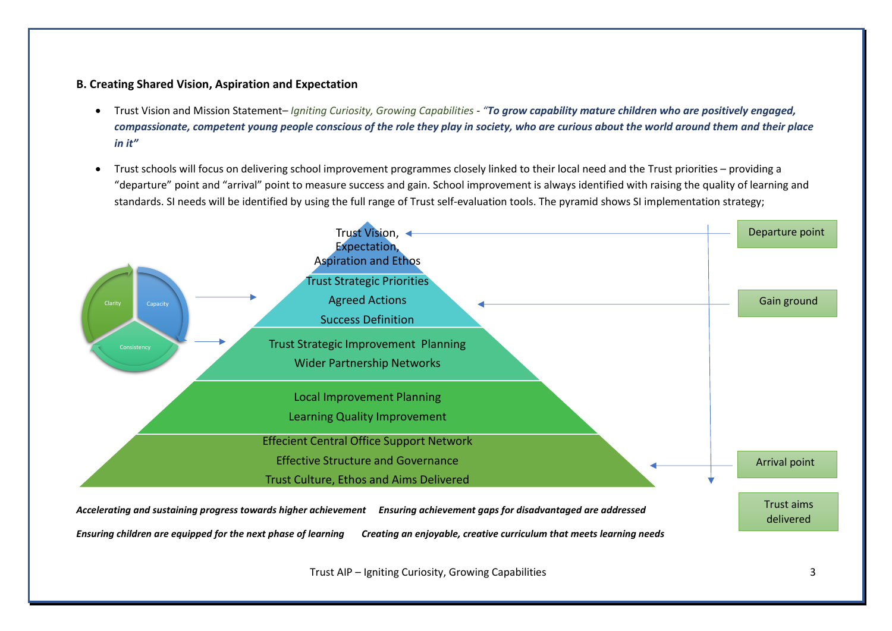## **B. Creating Shared Vision, Aspiration and Expectation**

- Trust Vision and Mission Statement– *Igniting Curiosity, Growing Capabilities - "To grow capability mature children who are positively engaged, compassionate, competent young people conscious of the role they play in society, who are curious about the world around them and their place in it"*
- Trust schools will focus on delivering school improvement programmes closely linked to their local need and the Trust priorities providing a "departure" point and "arrival" point to measure success and gain. School improvement is always identified with raising the quality of learning and standards. SI needs will be identified by using the full range of Trust self-evaluation tools. The pyramid shows SI implementation strategy;



Trust AIP – Igniting Curiosity, Growing Capabilities 3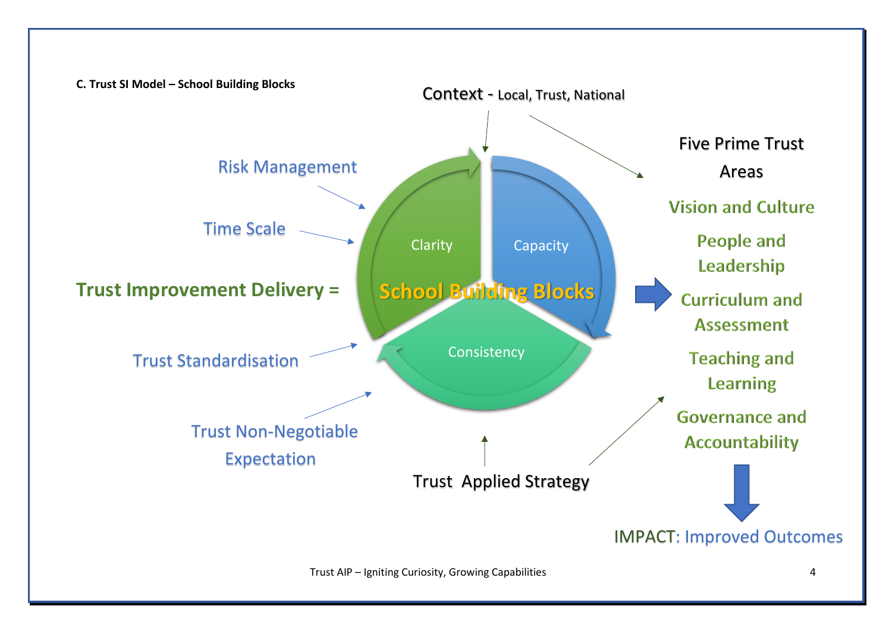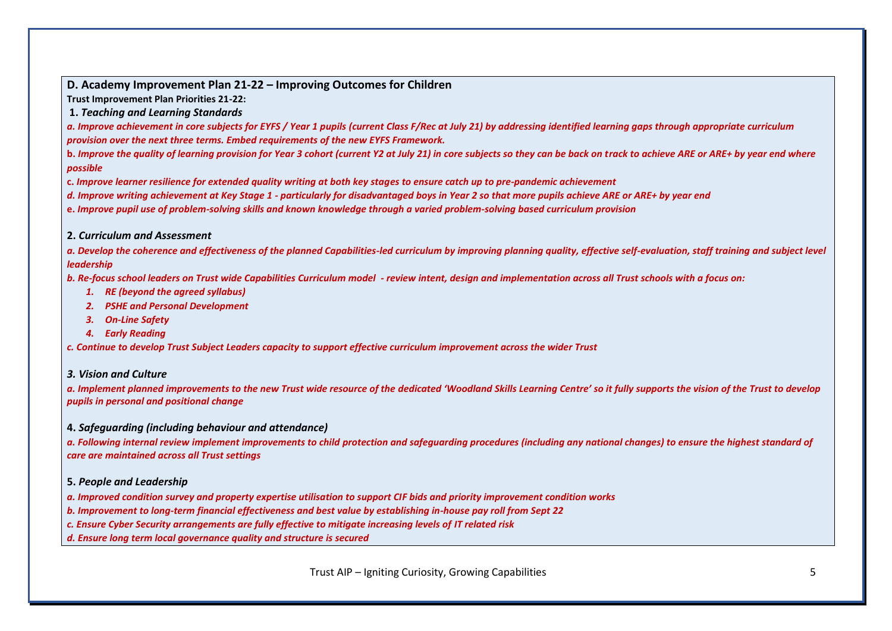**Trust Improvement Plan Priorities 21-22:** 

**1.** *Teaching and Learning Standards*

*a. Improve achievement in core subjects for EYFS / Year 1 pupils (current Class F/Rec at July 21) by addressing identified learning gaps through appropriate curriculum provision over the next three terms. Embed requirements of the new EYFS Framework.*

**b.** *Improve the quality of learning provision for Year 3 cohort (current Y2 at July 21) in core subjects so they can be back on track to achieve ARE or ARE+ by year end where possible*

**c.** *Improve learner resilience for extended quality writing at both key stages to ensure catch up to pre-pandemic achievement*

*d. Improve writing achievement at Key Stage 1 - particularly for disadvantaged boys in Year 2 so that more pupils achieve ARE or ARE+ by year end*

**e.** *Improve pupil use of problem-solving skills and known knowledge through a varied problem-solving based curriculum provision*

#### **2.** *Curriculum and Assessment*

*a. Develop the coherence and effectiveness of the planned Capabilities-led curriculum by improving planning quality, effective self-evaluation, staff training and subject level leadership*

*b. Re-focus school leaders on Trust wide Capabilities Curriculum model - review intent, design and implementation across all Trust schools with a focus on:* 

- *1. RE (beyond the agreed syllabus)*
- *2. PSHE and Personal Development*
- *3. On-Line Safety*
- *4. Early Reading*

*c. Continue to develop Trust Subject Leaders capacity to support effective curriculum improvement across the wider Trust*

#### *3. Vision and Culture*

*a. Implement planned improvements to the new Trust wide resource of the dedicated 'Woodland Skills Learning Centre' so it fully supports the vision of the Trust to develop pupils in personal and positional change*

#### **4.** *Safeguarding (including behaviour and attendance)*

*a. Following internal review implement improvements to child protection and safeguarding procedures (including any national changes) to ensure the highest standard of care are maintained across all Trust settings*

#### **5.** *People and Leadership*

*a. Improved condition survey and property expertise utilisation to support CIF bids and priority improvement condition works*

*b. Improvement to long-term financial effectiveness and best value by establishing in-house pay roll from Sept 22*

*c. Ensure Cyber Security arrangements are fully effective to mitigate increasing levels of IT related risk*

*d. Ensure long term local governance quality and structure is secured*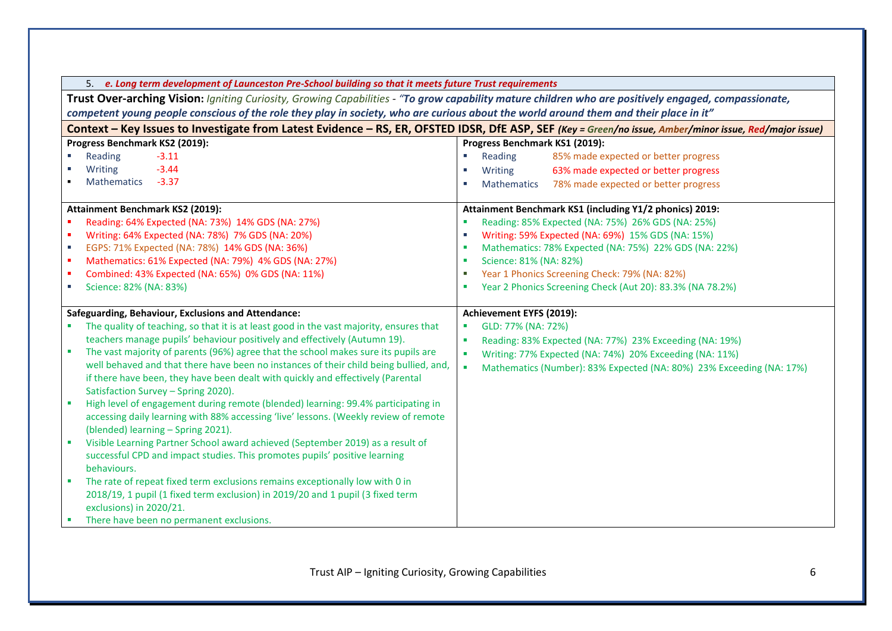| 5. e. Long term development of Launceston Pre-School building so that it meets future Trust requirements                                             |                                                                                                                                                         |  |  |  |  |  |  |  |
|------------------------------------------------------------------------------------------------------------------------------------------------------|---------------------------------------------------------------------------------------------------------------------------------------------------------|--|--|--|--|--|--|--|
| Trust Over-arching Vision: Igniting Curiosity, Growing Capabilities - "To grow capability mature children who are positively engaged, compassionate, |                                                                                                                                                         |  |  |  |  |  |  |  |
| competent young people conscious of the role they play in society, who are curious about the world around them and their place in it"                |                                                                                                                                                         |  |  |  |  |  |  |  |
|                                                                                                                                                      | Context - Key Issues to Investigate from Latest Evidence - RS, ER, OFSTED IDSR, DfE ASP, SEF (Key = Green/no issue, Amber/minor issue, Red/major issue) |  |  |  |  |  |  |  |
| Progress Benchmark KS2 (2019):                                                                                                                       | Progress Benchmark KS1 (2019):                                                                                                                          |  |  |  |  |  |  |  |
| Reading<br>$-3.11$                                                                                                                                   | 85% made expected or better progress<br>$\mathcal{L}_{\mathcal{A}}$<br>Reading                                                                          |  |  |  |  |  |  |  |
| $-3.44$<br>Writing                                                                                                                                   | 63% made expected or better progress<br>Writing<br>a a                                                                                                  |  |  |  |  |  |  |  |
| $-3.37$<br><b>Mathematics</b>                                                                                                                        | 78% made expected or better progress<br><b>Mathematics</b>                                                                                              |  |  |  |  |  |  |  |
| Attainment Benchmark KS2 (2019):                                                                                                                     | Attainment Benchmark KS1 (including Y1/2 phonics) 2019:                                                                                                 |  |  |  |  |  |  |  |
| Reading: 64% Expected (NA: 73%) 14% GDS (NA: 27%)                                                                                                    | Reading: 85% Expected (NA: 75%) 26% GDS (NA: 25%)                                                                                                       |  |  |  |  |  |  |  |
| Writing: 64% Expected (NA: 78%) 7% GDS (NA: 20%)                                                                                                     | Writing: 59% Expected (NA: 69%) 15% GDS (NA: 15%)                                                                                                       |  |  |  |  |  |  |  |
| EGPS: 71% Expected (NA: 78%) 14% GDS (NA: 36%)<br>a.                                                                                                 | Mathematics: 78% Expected (NA: 75%) 22% GDS (NA: 22%)                                                                                                   |  |  |  |  |  |  |  |
| Mathematics: 61% Expected (NA: 79%) 4% GDS (NA: 27%)<br>٠                                                                                            | Science: 81% (NA: 82%)                                                                                                                                  |  |  |  |  |  |  |  |
| Combined: 43% Expected (NA: 65%) 0% GDS (NA: 11%)                                                                                                    | Year 1 Phonics Screening Check: 79% (NA: 82%)                                                                                                           |  |  |  |  |  |  |  |
| Science: 82% (NA: 83%)<br>$\mathcal{L}_{\mathcal{A}}$                                                                                                | Year 2 Phonics Screening Check (Aut 20): 83.3% (NA 78.2%)<br>a.                                                                                         |  |  |  |  |  |  |  |
|                                                                                                                                                      |                                                                                                                                                         |  |  |  |  |  |  |  |
| Safeguarding, Behaviour, Exclusions and Attendance:                                                                                                  | Achievement EYFS (2019):                                                                                                                                |  |  |  |  |  |  |  |
| The quality of teaching, so that it is at least good in the vast majority, ensures that                                                              | GLD: 77% (NA: 72%)                                                                                                                                      |  |  |  |  |  |  |  |
| teachers manage pupils' behaviour positively and effectively (Autumn 19).                                                                            | Reading: 83% Expected (NA: 77%) 23% Exceeding (NA: 19%)<br>×                                                                                            |  |  |  |  |  |  |  |
| The vast majority of parents (96%) agree that the school makes sure its pupils are<br>ш                                                              | Writing: 77% Expected (NA: 74%) 20% Exceeding (NA: 11%)<br>$\blacksquare$                                                                               |  |  |  |  |  |  |  |
| well behaved and that there have been no instances of their child being bullied, and,                                                                | Mathematics (Number): 83% Expected (NA: 80%) 23% Exceeding (NA: 17%)                                                                                    |  |  |  |  |  |  |  |
| if there have been, they have been dealt with quickly and effectively (Parental                                                                      |                                                                                                                                                         |  |  |  |  |  |  |  |
| Satisfaction Survey - Spring 2020).                                                                                                                  |                                                                                                                                                         |  |  |  |  |  |  |  |
| High level of engagement during remote (blended) learning: 99.4% participating in<br>٠                                                               |                                                                                                                                                         |  |  |  |  |  |  |  |
| accessing daily learning with 88% accessing 'live' lessons. (Weekly review of remote                                                                 |                                                                                                                                                         |  |  |  |  |  |  |  |
| (blended) learning - Spring 2021).                                                                                                                   |                                                                                                                                                         |  |  |  |  |  |  |  |
| Visible Learning Partner School award achieved (September 2019) as a result of<br>٠                                                                  |                                                                                                                                                         |  |  |  |  |  |  |  |
| successful CPD and impact studies. This promotes pupils' positive learning                                                                           |                                                                                                                                                         |  |  |  |  |  |  |  |
| behaviours.                                                                                                                                          |                                                                                                                                                         |  |  |  |  |  |  |  |
| The rate of repeat fixed term exclusions remains exceptionally low with 0 in                                                                         |                                                                                                                                                         |  |  |  |  |  |  |  |
| 2018/19, 1 pupil (1 fixed term exclusion) in 2019/20 and 1 pupil (3 fixed term                                                                       |                                                                                                                                                         |  |  |  |  |  |  |  |
| exclusions) in 2020/21.                                                                                                                              |                                                                                                                                                         |  |  |  |  |  |  |  |
| There have been no permanent exclusions.                                                                                                             |                                                                                                                                                         |  |  |  |  |  |  |  |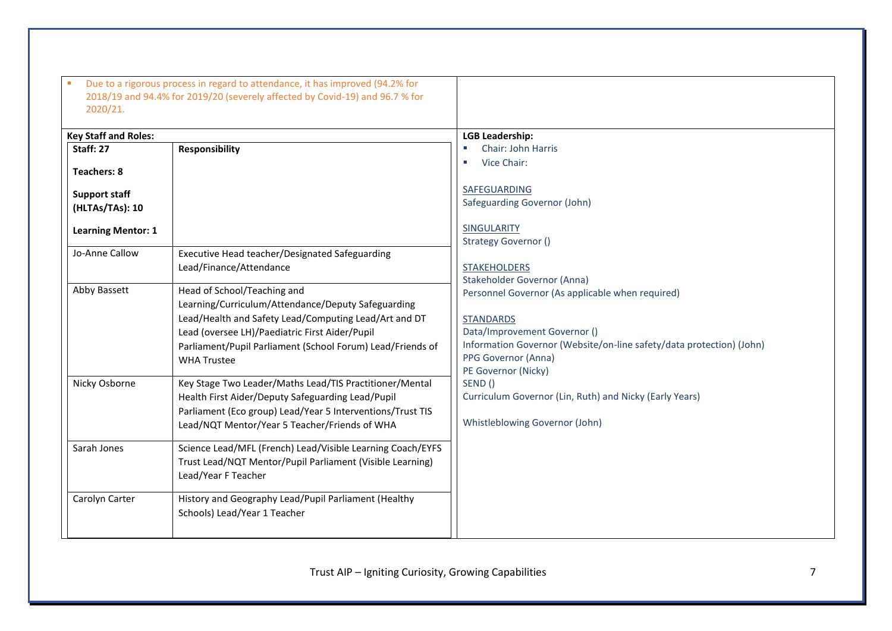| <b>Key Staff and Roles:</b> |                                                            | <b>LGB Leadership:</b>                                               |
|-----------------------------|------------------------------------------------------------|----------------------------------------------------------------------|
| Staff: 27                   | <b>Responsibility</b>                                      | Chair: John Harris                                                   |
| <b>Teachers: 8</b>          |                                                            | Vice Chair:                                                          |
| <b>Support staff</b>        |                                                            | SAFEGUARDING                                                         |
| (HLTAs/TAs): 10             |                                                            | Safeguarding Governor (John)                                         |
| <b>Learning Mentor: 1</b>   |                                                            | <b>SINGULARITY</b>                                                   |
|                             |                                                            | <b>Strategy Governor ()</b>                                          |
| Jo-Anne Callow              | Executive Head teacher/Designated Safeguarding             |                                                                      |
|                             | Lead/Finance/Attendance                                    | <b>STAKEHOLDERS</b>                                                  |
| Abby Bassett                | Head of School/Teaching and                                | Stakeholder Governor (Anna)                                          |
|                             | Learning/Curriculum/Attendance/Deputy Safeguarding         | Personnel Governor (As applicable when required)                     |
|                             | Lead/Health and Safety Lead/Computing Lead/Art and DT      | <b>STANDARDS</b>                                                     |
|                             | Lead (oversee LH)/Paediatric First Aider/Pupil             | Data/Improvement Governor ()                                         |
|                             | Parliament/Pupil Parliament (School Forum) Lead/Friends of | Information Governor (Website/on-line safety/data protection) (John) |
|                             | <b>WHA Trustee</b>                                         | PPG Governor (Anna)                                                  |
|                             |                                                            | PE Governor (Nicky)                                                  |
| Nicky Osborne               | Key Stage Two Leader/Maths Lead/TIS Practitioner/Mental    | SEND()                                                               |
|                             | Health First Aider/Deputy Safeguarding Lead/Pupil          | Curriculum Governor (Lin, Ruth) and Nicky (Early Years)              |
|                             | Parliament (Eco group) Lead/Year 5 Interventions/Trust TIS |                                                                      |
|                             | Lead/NQT Mentor/Year 5 Teacher/Friends of WHA              | Whistleblowing Governor (John)                                       |
| Sarah Jones                 | Science Lead/MFL (French) Lead/Visible Learning Coach/EYFS |                                                                      |
|                             | Trust Lead/NQT Mentor/Pupil Parliament (Visible Learning)  |                                                                      |
|                             | Lead/Year F Teacher                                        |                                                                      |
| Carolyn Carter              | History and Geography Lead/Pupil Parliament (Healthy       |                                                                      |
|                             | Schools) Lead/Year 1 Teacher                               |                                                                      |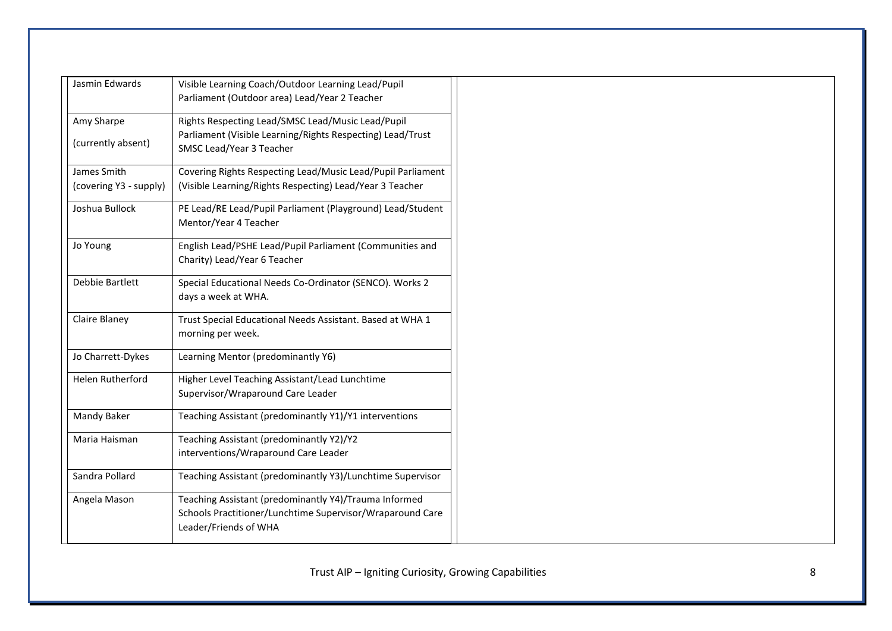| Jasmin Edwards          | Visible Learning Coach/Outdoor Learning Lead/Pupil                                       |
|-------------------------|------------------------------------------------------------------------------------------|
|                         | Parliament (Outdoor area) Lead/Year 2 Teacher                                            |
| Amy Sharpe              | Rights Respecting Lead/SMSC Lead/Music Lead/Pupil                                        |
| (currently absent)      | Parliament (Visible Learning/Rights Respecting) Lead/Trust<br>SMSC Lead/Year 3 Teacher   |
| James Smith             | Covering Rights Respecting Lead/Music Lead/Pupil Parliament                              |
| (covering Y3 - supply)  | (Visible Learning/Rights Respecting) Lead/Year 3 Teacher                                 |
| Joshua Bullock          | PE Lead/RE Lead/Pupil Parliament (Playground) Lead/Student<br>Mentor/Year 4 Teacher      |
| Jo Young                | English Lead/PSHE Lead/Pupil Parliament (Communities and<br>Charity) Lead/Year 6 Teacher |
| Debbie Bartlett         | Special Educational Needs Co-Ordinator (SENCO). Works 2                                  |
|                         | days a week at WHA.                                                                      |
| Claire Blaney           | Trust Special Educational Needs Assistant. Based at WHA 1                                |
|                         | morning per week.                                                                        |
| Jo Charrett-Dykes       | Learning Mentor (predominantly Y6)                                                       |
| <b>Helen Rutherford</b> | Higher Level Teaching Assistant/Lead Lunchtime                                           |
|                         | Supervisor/Wraparound Care Leader                                                        |
| Mandy Baker             | Teaching Assistant (predominantly Y1)/Y1 interventions                                   |
| Maria Haisman           | Teaching Assistant (predominantly Y2)/Y2                                                 |
|                         | interventions/Wraparound Care Leader                                                     |
| Sandra Pollard          | Teaching Assistant (predominantly Y3)/Lunchtime Supervisor                               |
| Angela Mason            | Teaching Assistant (predominantly Y4)/Trauma Informed                                    |
|                         | Schools Practitioner/Lunchtime Supervisor/Wraparound Care<br>Leader/Friends of WHA       |
|                         |                                                                                          |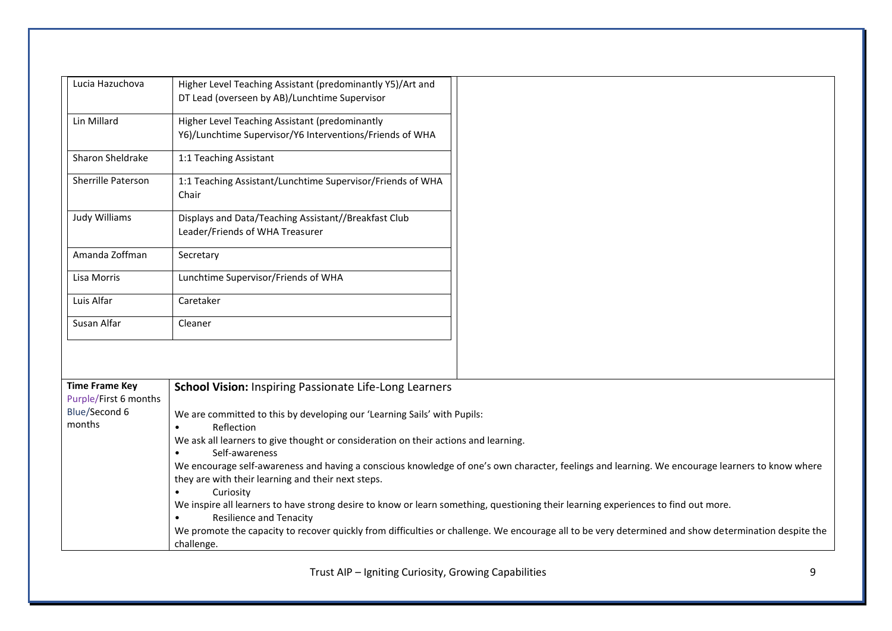| Lucia Hazuchova         | Higher Level Teaching Assistant (predominantly Y5)/Art and                                                                                      |                                                                                                                                                      |  |  |  |  |  |
|-------------------------|-------------------------------------------------------------------------------------------------------------------------------------------------|------------------------------------------------------------------------------------------------------------------------------------------------------|--|--|--|--|--|
|                         | DT Lead (overseen by AB)/Lunchtime Supervisor                                                                                                   |                                                                                                                                                      |  |  |  |  |  |
| Lin Millard             | Higher Level Teaching Assistant (predominantly                                                                                                  |                                                                                                                                                      |  |  |  |  |  |
|                         | Y6)/Lunchtime Supervisor/Y6 Interventions/Friends of WHA                                                                                        |                                                                                                                                                      |  |  |  |  |  |
| Sharon Sheldrake        | 1:1 Teaching Assistant                                                                                                                          |                                                                                                                                                      |  |  |  |  |  |
| Sherrille Paterson      | 1:1 Teaching Assistant/Lunchtime Supervisor/Friends of WHA<br>Chair                                                                             |                                                                                                                                                      |  |  |  |  |  |
| Judy Williams           | Displays and Data/Teaching Assistant//Breakfast Club<br>Leader/Friends of WHA Treasurer                                                         |                                                                                                                                                      |  |  |  |  |  |
| Amanda Zoffman          | Secretary                                                                                                                                       |                                                                                                                                                      |  |  |  |  |  |
| Lisa Morris             | Lunchtime Supervisor/Friends of WHA                                                                                                             |                                                                                                                                                      |  |  |  |  |  |
| Luis Alfar              | Caretaker                                                                                                                                       |                                                                                                                                                      |  |  |  |  |  |
| Susan Alfar             | Cleaner                                                                                                                                         |                                                                                                                                                      |  |  |  |  |  |
|                         |                                                                                                                                                 |                                                                                                                                                      |  |  |  |  |  |
| <b>Time Frame Key</b>   | <b>School Vision: Inspiring Passionate Life-Long Learners</b>                                                                                   |                                                                                                                                                      |  |  |  |  |  |
| Purple/First 6 months   |                                                                                                                                                 |                                                                                                                                                      |  |  |  |  |  |
| Blue/Second 6<br>months | We are committed to this by developing our 'Learning Sails' with Pupils:<br>Reflection                                                          |                                                                                                                                                      |  |  |  |  |  |
|                         | We ask all learners to give thought or consideration on their actions and learning.                                                             |                                                                                                                                                      |  |  |  |  |  |
|                         | Self-awareness                                                                                                                                  |                                                                                                                                                      |  |  |  |  |  |
|                         | We encourage self-awareness and having a conscious knowledge of one's own character, feelings and learning. We encourage learners to know where |                                                                                                                                                      |  |  |  |  |  |
|                         | they are with their learning and their next steps.                                                                                              |                                                                                                                                                      |  |  |  |  |  |
|                         | Curiosity                                                                                                                                       |                                                                                                                                                      |  |  |  |  |  |
|                         | We inspire all learners to have strong desire to know or learn something, questioning their learning experiences to find out more.              |                                                                                                                                                      |  |  |  |  |  |
|                         | <b>Resilience and Tenacity</b>                                                                                                                  | We promote the capacity to recover quickly from difficulties or challenge. We encourage all to be very determined and show determination despite the |  |  |  |  |  |
|                         | challenge.                                                                                                                                      |                                                                                                                                                      |  |  |  |  |  |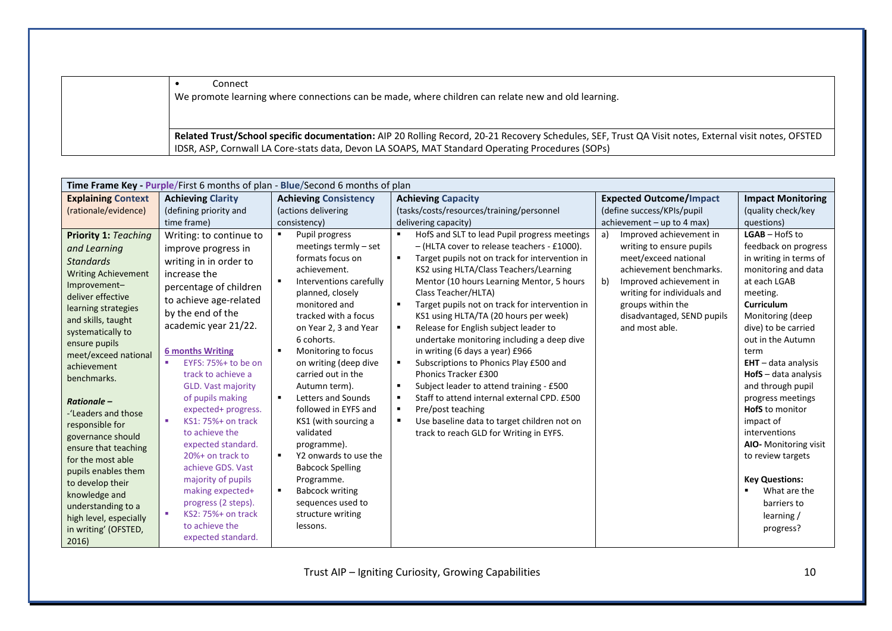• Connect We promote learning where connections can be made, where children can relate new and old learning. **Related Trust/School specific documentation:** AIP 20 Rolling Record, 20-21 Recovery Schedules, SEF, Trust QA Visit notes, External visit notes, OFSTED IDSR, ASP, Cornwall LA Core-stats data, Devon LA SOAPS, MAT Standard Operating Procedures (SOPs)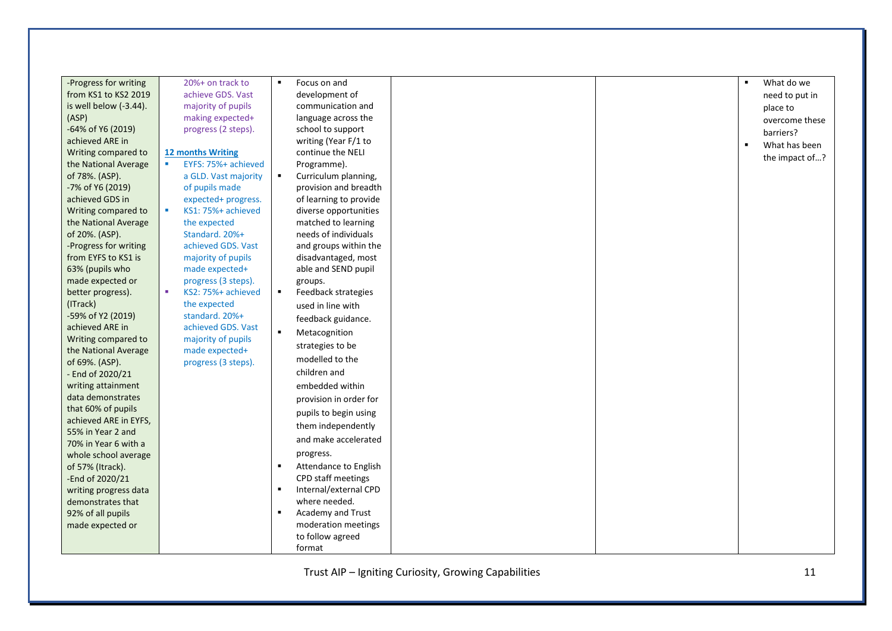| -Progress for writing  | 20%+ on track to         | $\blacksquare$ | Focus on and           |
|------------------------|--------------------------|----------------|------------------------|
| from KS1 to KS2 2019   | achieve GDS. Vast        |                | development of         |
| is well below (-3.44). | majority of pupils       |                | communication and      |
| (ASP)                  | making expected+         |                | language across the    |
| -64% of Y6 (2019)      | progress (2 steps).      |                | school to support      |
| achieved ARE in        |                          |                | writing (Year F/1 to   |
| Writing compared to    | 12 months Writing        |                | continue the NELI      |
| the National Average   | EYFS: 75%+ achieved      |                | Programme).            |
| of 78%. (ASP).         | a GLD. Vast majority     | $\blacksquare$ | Curriculum planning,   |
| -7% of Y6 (2019)       | of pupils made           |                | provision and breadth  |
| achieved GDS in        | expected+ progress.      |                | of learning to provide |
| Writing compared to    | KS1: 75%+ achieved<br>m. |                | diverse opportunities  |
| the National Average   | the expected             |                | matched to learning    |
| of 20%. (ASP).         | Standard. 20%+           |                | needs of individuals   |
| -Progress for writing  | achieved GDS, Vast       |                | and groups within the  |
| from EYFS to KS1 is    | majority of pupils       |                | disadvantaged, most    |
| 63% (pupils who        | made expected+           |                | able and SEND pupil    |
| made expected or       | progress (3 steps).      |                | groups.                |
| better progress).      | ×.<br>KS2: 75%+ achieved | $\blacksquare$ | Feedback strategies    |
| (ITrack)               | the expected             |                | used in line with      |
| -59% of Y2 (2019)      | standard. 20%+           |                | feedback guidance.     |
| achieved ARE in        | achieved GDS, Vast       | $\blacksquare$ |                        |
| Writing compared to    | majority of pupils       |                | Metacognition          |
| the National Average   | made expected+           |                | strategies to be       |
| of 69%. (ASP).         | progress (3 steps).      |                | modelled to the        |
| - End of 2020/21       |                          |                | children and           |
| writing attainment     |                          |                | embedded within        |
| data demonstrates      |                          |                | provision in order for |
| that 60% of pupils     |                          |                |                        |
| achieved ARE in EYFS,  |                          |                | pupils to begin using  |
| 55% in Year 2 and      |                          |                | them independently     |
| 70% in Year 6 with a   |                          |                | and make accelerated   |
| whole school average   |                          |                | progress.              |
| of 57% (Itrack).       |                          | $\blacksquare$ | Attendance to English  |
| -End of 2020/21        |                          |                | CPD staff meetings     |
| writing progress data  |                          |                | Internal/external CPD  |
| demonstrates that      |                          |                | where needed.          |
| 92% of all pupils      |                          |                | Academy and Trust      |
|                        |                          |                | moderation meetings    |
| made expected or       |                          |                | to follow agreed       |
|                        |                          |                |                        |
|                        |                          |                | format                 |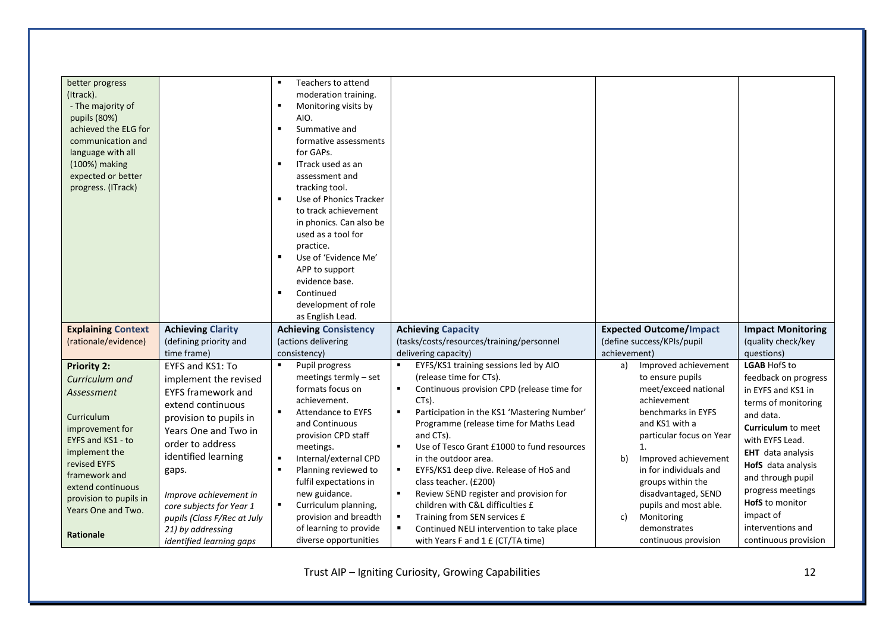| better progress<br>(Itrack).<br>- The majority of<br>pupils (80%)<br>achieved the ELG for<br>communication and<br>language with all<br>(100%) making<br>expected or better<br>progress. (ITrack)                                                    |                                                                                                                                                                                                                                                                                                                                         | Teachers to attend<br>moderation training.<br>$\blacksquare$<br>Monitoring visits by<br>AIO.<br>Summative and<br>٠<br>formative assessments<br>for GAPs.<br>$\blacksquare$<br>ITrack used as an<br>assessment and<br>tracking tool.<br>Use of Phonics Tracker<br>to track achievement<br>in phonics. Can also be<br>used as a tool for<br>practice.<br>Use of 'Evidence Me'<br>$\blacksquare$<br>APP to support<br>evidence base.<br>$\blacksquare$<br>Continued<br>development of role<br>as English Lead. |                                                                                                                                                                                                                                                                                                                                                                                                                                                                                                                                                                                                                        |                                                                                                                                                                                                                                                                                                                                                          |                                                                                                                                                                                                                                                                                                                                |
|-----------------------------------------------------------------------------------------------------------------------------------------------------------------------------------------------------------------------------------------------------|-----------------------------------------------------------------------------------------------------------------------------------------------------------------------------------------------------------------------------------------------------------------------------------------------------------------------------------------|-------------------------------------------------------------------------------------------------------------------------------------------------------------------------------------------------------------------------------------------------------------------------------------------------------------------------------------------------------------------------------------------------------------------------------------------------------------------------------------------------------------|------------------------------------------------------------------------------------------------------------------------------------------------------------------------------------------------------------------------------------------------------------------------------------------------------------------------------------------------------------------------------------------------------------------------------------------------------------------------------------------------------------------------------------------------------------------------------------------------------------------------|----------------------------------------------------------------------------------------------------------------------------------------------------------------------------------------------------------------------------------------------------------------------------------------------------------------------------------------------------------|--------------------------------------------------------------------------------------------------------------------------------------------------------------------------------------------------------------------------------------------------------------------------------------------------------------------------------|
| <b>Explaining Context</b><br>(rationale/evidence)                                                                                                                                                                                                   | <b>Achieving Clarity</b><br>(defining priority and<br>time frame)                                                                                                                                                                                                                                                                       | <b>Achieving Consistency</b><br>(actions delivering<br>consistency)                                                                                                                                                                                                                                                                                                                                                                                                                                         | <b>Achieving Capacity</b><br>(tasks/costs/resources/training/personnel<br>delivering capacity)                                                                                                                                                                                                                                                                                                                                                                                                                                                                                                                         | <b>Expected Outcome/Impact</b><br>(define success/KPIs/pupil<br>achievement)                                                                                                                                                                                                                                                                             | <b>Impact Monitoring</b><br>(quality check/key<br>questions)                                                                                                                                                                                                                                                                   |
| <b>Priority 2:</b><br>Curriculum and<br>Assessment<br>Curriculum<br>improvement for<br>EYFS and KS1 - to<br>implement the<br>revised EYFS<br>framework and<br>extend continuous<br>provision to pupils in<br>Years One and Two.<br><b>Rationale</b> | EYFS and KS1: To<br>implement the revised<br><b>EYFS framework and</b><br>extend continuous<br>provision to pupils in<br>Years One and Two in<br>order to address<br>identified learning<br>gaps.<br>Improve achievement in<br>core subjects for Year 1<br>pupils (Class F/Rec at July<br>21) by addressing<br>identified learning gaps | Pupil progress<br>meetings termly - set<br>formats focus on<br>achievement.<br>$\blacksquare$<br><b>Attendance to EYFS</b><br>and Continuous<br>provision CPD staff<br>meetings.<br>Internal/external CPD<br>٠<br>Planning reviewed to<br>$\blacksquare$<br>fulfil expectations in<br>new guidance.<br>Curriculum planning,<br>$\blacksquare$<br>provision and breadth<br>of learning to provide<br>diverse opportunities                                                                                   | EYFS/KS1 training sessions led by AIO<br>٠<br>(release time for CTs).<br>Continuous provision CPD (release time for<br>٠<br>CTs).<br>$\blacksquare$<br>Participation in the KS1 'Mastering Number'<br>Programme (release time for Maths Lead<br>and CTs).<br>Use of Tesco Grant £1000 to fund resources<br>٠<br>in the outdoor area.<br>EYFS/KS1 deep dive. Release of HoS and<br>٠<br>class teacher. (£200)<br>Review SEND register and provision for<br>٠<br>children with C&L difficulties £<br>Training from SEN services £<br>٠<br>Continued NELI intervention to take place<br>with Years F and 1 £ (CT/TA time) | Improved achievement<br>a)<br>to ensure pupils<br>meet/exceed national<br>achievement<br>benchmarks in EYFS<br>and KS1 with a<br>particular focus on Year<br>1.<br>b)<br>Improved achievement<br>in for individuals and<br>groups within the<br>disadvantaged, SEND<br>pupils and most able.<br>Monitoring<br>c)<br>demonstrates<br>continuous provision | <b>LGAB HofS to</b><br>feedback on progress<br>in EYFS and KS1 in<br>terms of monitoring<br>and data.<br><b>Curriculum to meet</b><br>with EYFS Lead.<br><b>EHT</b> data analysis<br>HofS data analysis<br>and through pupil<br>progress meetings<br>HofS to monitor<br>impact of<br>interventions and<br>continuous provision |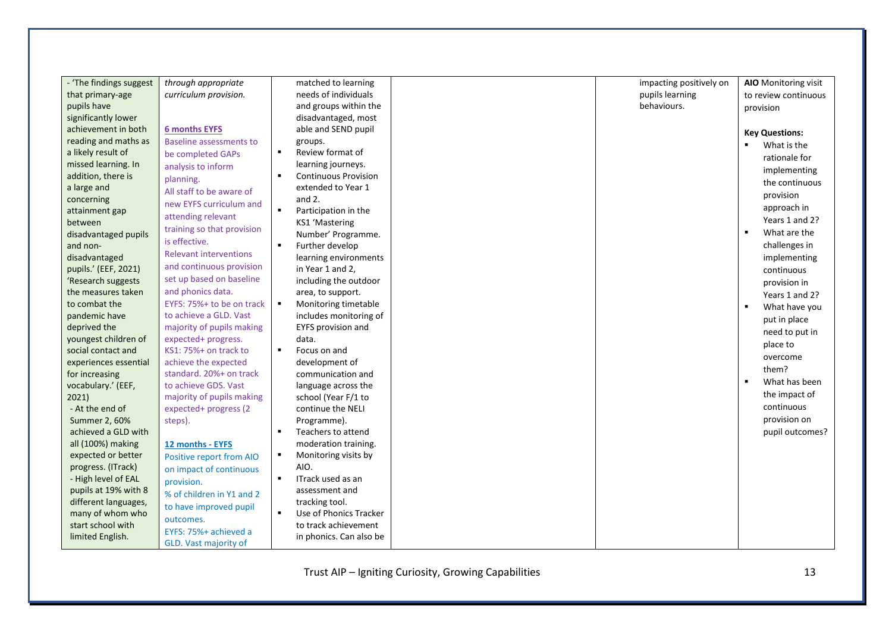| - 'The findings suggest                  | through appropriate            |                | matched to learning                          | impacting positively on | AIO Monitoring visit             |
|------------------------------------------|--------------------------------|----------------|----------------------------------------------|-------------------------|----------------------------------|
| that primary-age                         | curriculum provision.          |                | needs of individuals                         | pupils learning         | to review continuous             |
| pupils have                              |                                |                | and groups within the                        | behaviours.             | provision                        |
| significantly lower                      |                                |                | disadvantaged, most                          |                         |                                  |
| achievement in both                      | <b>6 months EYFS</b>           |                | able and SEND pupil                          |                         | <b>Key Questions:</b>            |
| reading and maths as                     | <b>Baseline assessments to</b> |                | groups.                                      |                         | What is the                      |
| a likely result of                       | be completed GAPs              | $\blacksquare$ | Review format of                             |                         | rationale for                    |
| missed learning. In                      | analysis to inform             |                | learning journeys.                           |                         | implementing                     |
| addition, there is                       | planning.                      | $\blacksquare$ | <b>Continuous Provision</b>                  |                         | the continuous                   |
| a large and                              | All staff to be aware of       |                | extended to Year 1                           |                         | provision                        |
| concerning                               | new EYFS curriculum and        |                | and $2.$                                     |                         |                                  |
| attainment gap                           | attending relevant             | $\blacksquare$ | Participation in the                         |                         | approach in                      |
| between                                  | training so that provision     |                | <b>KS1 'Mastering</b>                        |                         | Years 1 and 2?<br>$\blacksquare$ |
| disadvantaged pupils                     | is effective.                  |                | Number' Programme.                           |                         | What are the                     |
| and non-                                 | <b>Relevant interventions</b>  | $\blacksquare$ | Further develop                              |                         | challenges in                    |
| disadvantaged                            | and continuous provision       |                | learning environments                        |                         | implementing                     |
| pupils.' (EEF, 2021)                     |                                |                | in Year 1 and 2,                             |                         | continuous                       |
| 'Research suggests                       | set up based on baseline       |                | including the outdoor                        |                         | provision in                     |
| the measures taken                       | and phonics data.              |                | area, to support.                            |                         | Years 1 and 2?                   |
| to combat the                            | EYFS: 75%+ to be on track      | $\bullet$      | Monitoring timetable                         |                         | What have you                    |
| pandemic have                            | to achieve a GLD. Vast         |                | includes monitoring of                       |                         | put in place                     |
| deprived the                             | majority of pupils making      |                | <b>EYFS provision and</b>                    |                         | need to put in                   |
| youngest children of                     | expected+ progress.            |                | data.                                        |                         | place to                         |
| social contact and                       | KS1: 75%+ on track to          | $\blacksquare$ | Focus on and                                 |                         | overcome                         |
| experiences essential                    | achieve the expected           |                | development of                               |                         | them?                            |
| for increasing                           | standard. 20%+ on track        |                | communication and                            |                         | $\blacksquare$<br>What has been  |
| vocabulary.' (EEF,                       | to achieve GDS. Vast           |                | language across the                          |                         | the impact of                    |
| 2021)                                    | majority of pupils making      |                | school (Year F/1 to                          |                         | continuous                       |
| - At the end of                          | expected+ progress (2          |                | continue the NELI                            |                         | provision on                     |
| Summer 2, 60%                            | steps).                        | $\blacksquare$ | Programme).                                  |                         |                                  |
| achieved a GLD with                      |                                |                | Teachers to attend                           |                         | pupil outcomes?                  |
| all (100%) making                        | 12 months - EYFS               | $\blacksquare$ | moderation training.<br>Monitoring visits by |                         |                                  |
| expected or better<br>progress. (ITrack) | Positive report from AIO       |                | AIO.                                         |                         |                                  |
| - High level of EAL                      | on impact of continuous        | $\blacksquare$ | ITrack used as an                            |                         |                                  |
| pupils at 19% with 8                     | provision.                     |                | assessment and                               |                         |                                  |
| different languages,                     | % of children in Y1 and 2      |                | tracking tool.                               |                         |                                  |
| many of whom who                         | to have improved pupil         | $\blacksquare$ | Use of Phonics Tracker                       |                         |                                  |
| start school with                        | outcomes.                      |                | to track achievement                         |                         |                                  |
| limited English.                         | EYFS: 75%+ achieved a          |                | in phonics. Can also be                      |                         |                                  |
|                                          | GLD. Vast majority of          |                |                                              |                         |                                  |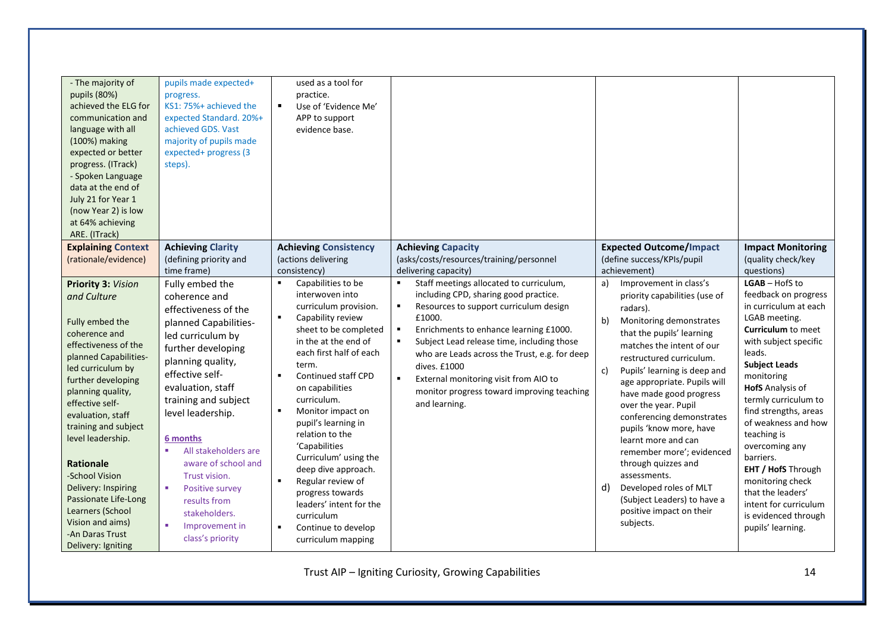| - The majority of<br>pupils (80%)<br>achieved the ELG for<br>communication and<br>language with all<br>(100%) making<br>expected or better<br>progress. (ITrack)<br>- Spoken Language<br>data at the end of<br>July 21 for Year 1<br>(now Year 2) is low<br>at 64% achieving<br>ARE. (ITrack)                                                                                                                                                     | pupils made expected+<br>progress.<br>KS1: 75%+ achieved the<br>expected Standard. 20%+<br>achieved GDS. Vast<br>majority of pupils made<br>expected+ progress (3<br>steps).                                                                                                                                                                                                                                                   | used as a tool for<br>practice.<br>$\blacksquare$<br>Use of 'Evidence Me'<br>APP to support<br>evidence base.                                                                                                                                                                                                                                                                                                                                                                                                                                          |                                                                                                                                                                                                                                                                                                                                                                                                                                                                  |                                                                                                                                                                                                                                                                                                                                                                                                                                                                                                                                                                                      |                                                                                                                                                                                                                                                                                                                                                                                                                                                                                   |
|---------------------------------------------------------------------------------------------------------------------------------------------------------------------------------------------------------------------------------------------------------------------------------------------------------------------------------------------------------------------------------------------------------------------------------------------------|--------------------------------------------------------------------------------------------------------------------------------------------------------------------------------------------------------------------------------------------------------------------------------------------------------------------------------------------------------------------------------------------------------------------------------|--------------------------------------------------------------------------------------------------------------------------------------------------------------------------------------------------------------------------------------------------------------------------------------------------------------------------------------------------------------------------------------------------------------------------------------------------------------------------------------------------------------------------------------------------------|------------------------------------------------------------------------------------------------------------------------------------------------------------------------------------------------------------------------------------------------------------------------------------------------------------------------------------------------------------------------------------------------------------------------------------------------------------------|--------------------------------------------------------------------------------------------------------------------------------------------------------------------------------------------------------------------------------------------------------------------------------------------------------------------------------------------------------------------------------------------------------------------------------------------------------------------------------------------------------------------------------------------------------------------------------------|-----------------------------------------------------------------------------------------------------------------------------------------------------------------------------------------------------------------------------------------------------------------------------------------------------------------------------------------------------------------------------------------------------------------------------------------------------------------------------------|
| <b>Explaining Context</b><br>(rationale/evidence)                                                                                                                                                                                                                                                                                                                                                                                                 | <b>Achieving Clarity</b><br>(defining priority and<br>time frame)                                                                                                                                                                                                                                                                                                                                                              | <b>Achieving Consistency</b><br>(actions delivering<br>consistency)                                                                                                                                                                                                                                                                                                                                                                                                                                                                                    | <b>Achieving Capacity</b><br>(asks/costs/resources/training/personnel<br>delivering capacity)                                                                                                                                                                                                                                                                                                                                                                    | <b>Expected Outcome/Impact</b><br>(define success/KPIs/pupil<br>achievement)                                                                                                                                                                                                                                                                                                                                                                                                                                                                                                         | <b>Impact Monitoring</b><br>(quality check/key<br>questions)                                                                                                                                                                                                                                                                                                                                                                                                                      |
| Priority 3: Vision<br>and Culture<br>Fully embed the<br>coherence and<br>effectiveness of the<br>planned Capabilities-<br>led curriculum by<br>further developing<br>planning quality,<br>effective self-<br>evaluation, staff<br>training and subject<br>level leadership.<br><b>Rationale</b><br>-School Vision<br>Delivery: Inspiring<br>Passionate Life-Long<br>Learners (School<br>Vision and aims)<br>-An Daras Trust<br>Delivery: Igniting | Fully embed the<br>coherence and<br>effectiveness of the<br>planned Capabilities-<br>led curriculum by<br>further developing<br>planning quality,<br>effective self-<br>evaluation, staff<br>training and subject<br>level leadership.<br>6 months<br>All stakeholders are<br>aware of school and<br>Trust vision.<br>×.<br><b>Positive survey</b><br>results from<br>stakeholders.<br>×<br>Improvement in<br>class's priority | Capabilities to be<br>interwoven into<br>curriculum provision.<br>Capability review<br>$\blacksquare$<br>sheet to be completed<br>in the at the end of<br>each first half of each<br>term.<br>Continued staff CPD<br>$\blacksquare$<br>on capabilities<br>curriculum.<br>Monitor impact on<br>pupil's learning in<br>relation to the<br>'Capabilities<br>Curriculum' using the<br>deep dive approach.<br>Regular review of<br>$\blacksquare$<br>progress towards<br>leaders' intent for the<br>curriculum<br>Continue to develop<br>curriculum mapping | Staff meetings allocated to curriculum,<br>including CPD, sharing good practice.<br>$\blacksquare$<br>Resources to support curriculum design<br>£1000.<br>٠<br>Enrichments to enhance learning £1000.<br>$\blacksquare$<br>Subject Lead release time, including those<br>who are Leads across the Trust, e.g. for deep<br>dives. £1000<br>$\blacksquare$<br>External monitoring visit from AIO to<br>monitor progress toward improving teaching<br>and learning. | Improvement in class's<br>a)<br>priority capabilities (use of<br>radars).<br>Monitoring demonstrates<br>b)<br>that the pupils' learning<br>matches the intent of our<br>restructured curriculum.<br>Pupils' learning is deep and<br>C)<br>age appropriate. Pupils will<br>have made good progress<br>over the year. Pupil<br>conferencing demonstrates<br>pupils 'know more, have<br>learnt more and can<br>remember more'; evidenced<br>through quizzes and<br>assessments.<br>Developed roles of MLT<br>d)<br>(Subject Leaders) to have a<br>positive impact on their<br>subjects. | LGAB-HofS to<br>feedback on progress<br>in curriculum at each<br>LGAB meeting.<br><b>Curriculum</b> to meet<br>with subject specific<br>leads.<br><b>Subject Leads</b><br>monitoring<br><b>HofS</b> Analysis of<br>termly curriculum to<br>find strengths, areas<br>of weakness and how<br>teaching is<br>overcoming any<br>barriers.<br><b>EHT / HofS</b> Through<br>monitoring check<br>that the leaders'<br>intent for curriculum<br>is evidenced through<br>pupils' learning. |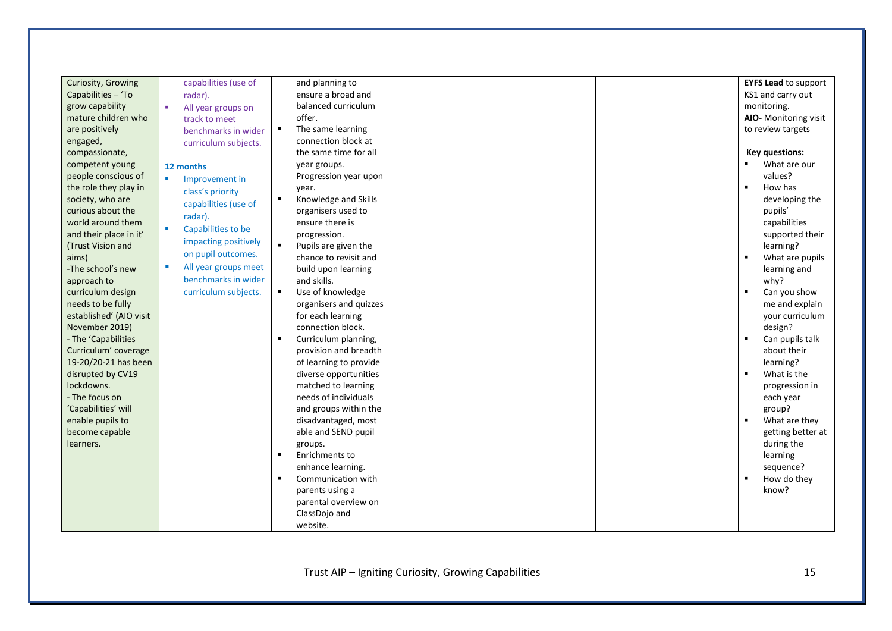| Curiosity, Growing      | capabilities (use of      | and planning to                        |  | <b>EYFS Lead to support</b>       |
|-------------------------|---------------------------|----------------------------------------|--|-----------------------------------|
| Capabilities - 'To      | radar).                   | ensure a broad and                     |  | KS1 and carry out                 |
| grow capability         | All year groups on        | balanced curriculum                    |  | monitoring.                       |
| mature children who     | track to meet             | offer.                                 |  | AIO- Monitoring visit             |
| are positively          | benchmarks in wider       | The same learning<br>$\blacksquare$    |  | to review targets                 |
| engaged,                | curriculum subjects.      | connection block at                    |  |                                   |
| compassionate,          |                           | the same time for all                  |  | Key questions:                    |
| competent young         | 12 months                 | year groups.                           |  | ٠.<br>What are our                |
| people conscious of     | Improvement in            | Progression year upon                  |  | values?                           |
| the role they play in   | class's priority          | year.                                  |  | How has<br>$\blacksquare$         |
| society, who are        | capabilities (use of      | $\blacksquare$<br>Knowledge and Skills |  | developing the                    |
| curious about the       |                           | organisers used to                     |  | pupils'                           |
| world around them       | radar).                   | ensure there is                        |  | capabilities                      |
| and their place in it'  | ٠<br>Capabilities to be   | progression.                           |  | supported their                   |
| (Trust Vision and       | impacting positively      | $\blacksquare$<br>Pupils are given the |  | learning?                         |
| aims)                   | on pupil outcomes.        | chance to revisit and                  |  | $\bullet$<br>What are pupils      |
| -The school's new       | п<br>All year groups meet | build upon learning                    |  | learning and                      |
| approach to             | benchmarks in wider       | and skills.                            |  | why?                              |
| curriculum design       | curriculum subjects.      | Use of knowledge<br>$\blacksquare$     |  | Can you show                      |
| needs to be fully       |                           | organisers and quizzes                 |  | me and explain                    |
| established' (AIO visit |                           | for each learning                      |  | your curriculum                   |
| November 2019)          |                           | connection block.                      |  | design?                           |
| - The 'Capabilities     |                           | Curriculum planning,                   |  | $\blacksquare$<br>Can pupils talk |
| Curriculum' coverage    |                           | provision and breadth                  |  | about their                       |
| 19-20/20-21 has been    |                           | of learning to provide                 |  | learning?                         |
| disrupted by CV19       |                           | diverse opportunities                  |  | $\blacksquare$<br>What is the     |
| lockdowns.              |                           | matched to learning                    |  | progression in                    |
| - The focus on          |                           | needs of individuals                   |  | each year                         |
| 'Capabilities' will     |                           | and groups within the                  |  | group?                            |
| enable pupils to        |                           | disadvantaged, most                    |  | $\blacksquare$<br>What are they   |
| become capable          |                           | able and SEND pupil                    |  | getting better at                 |
| learners.               |                           | groups.                                |  | during the                        |
|                         |                           | Enrichments to<br>$\blacksquare$       |  | learning                          |
|                         |                           | enhance learning.                      |  | sequence?                         |
|                         |                           | Communication with<br>л.               |  | How do they<br>$\blacksquare$     |
|                         |                           | parents using a                        |  | know?                             |
|                         |                           | parental overview on                   |  |                                   |
|                         |                           | ClassDojo and                          |  |                                   |
|                         |                           | website.                               |  |                                   |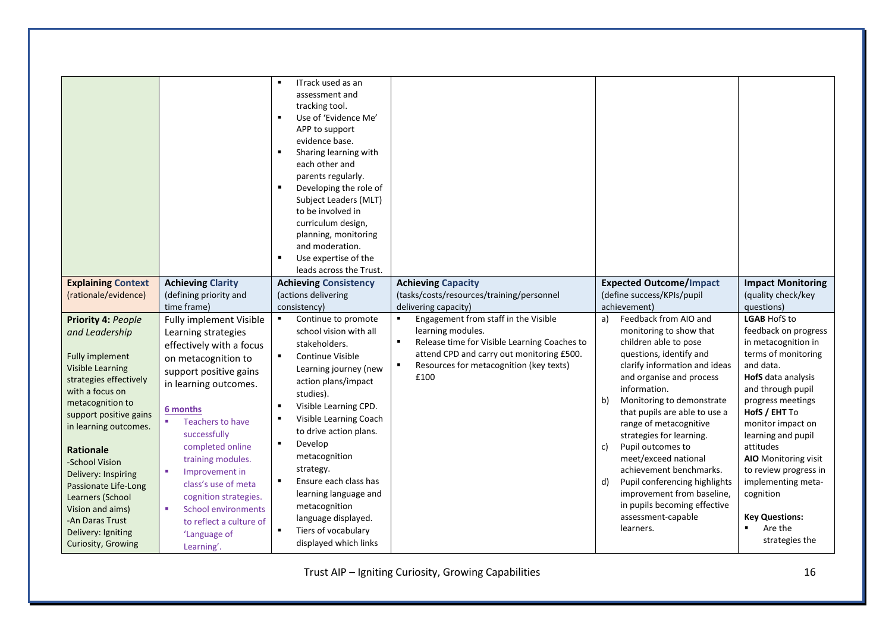| <b>Explaining Context</b><br>(rationale/evidence)<br>Priority 4: People<br>and Leadership                                                                             | <b>Achieving Clarity</b><br>(defining priority and<br>time frame)<br>Fully implement Visible<br>Learning strategies                                                                 | ITrack used as an<br>assessment and<br>tracking tool.<br>Use of 'Evidence Me'<br>٠<br>APP to support<br>evidence base.<br>Sharing learning with<br>each other and<br>parents regularly.<br>Developing the role of<br>Subject Leaders (MLT)<br>to be involved in<br>curriculum design,<br>planning, monitoring<br>and moderation.<br>Use expertise of the<br>leads across the Trust.<br><b>Achieving Consistency</b><br>(actions delivering<br>consistency)<br>Continue to promote<br>school vision with all | <b>Achieving Capacity</b><br>(tasks/costs/resources/training/personnel<br>delivering capacity)<br>Engagement from staff in the Visible<br>$\blacksquare$<br>learning modules. | <b>Expected Outcome/Impact</b><br>(define success/KPIs/pupil<br>achievement)<br>Feedback from AIO and<br>a)<br>monitoring to show that                                                                                         | <b>Impact Monitoring</b><br>(quality check/key<br>questions)<br><b>LGAB HofS to</b><br>feedback on progress                                                  |
|-----------------------------------------------------------------------------------------------------------------------------------------------------------------------|-------------------------------------------------------------------------------------------------------------------------------------------------------------------------------------|-------------------------------------------------------------------------------------------------------------------------------------------------------------------------------------------------------------------------------------------------------------------------------------------------------------------------------------------------------------------------------------------------------------------------------------------------------------------------------------------------------------|-------------------------------------------------------------------------------------------------------------------------------------------------------------------------------|--------------------------------------------------------------------------------------------------------------------------------------------------------------------------------------------------------------------------------|--------------------------------------------------------------------------------------------------------------------------------------------------------------|
| <b>Fully implement</b><br><b>Visible Learning</b><br>strategies effectively<br>with a focus on<br>metacognition to<br>support positive gains<br>in learning outcomes. | on metacognition to<br>support positive gains<br>in learning outcomes.<br>6 months<br>×<br><b>Teachers to have</b><br>successfully                                                  | Continue Visible<br>$\blacksquare$<br>Learning journey (new<br>action plans/impact<br>studies).<br>Visible Learning CPD.<br>Visible Learning Coach<br>to drive action plans.                                                                                                                                                                                                                                                                                                                                | attend CPD and carry out monitoring £500.<br>Resources for metacognition (key texts)<br>٠<br>£100                                                                             | questions, identify and<br>clarify information and ideas<br>and organise and process<br>information.<br>Monitoring to demonstrate<br>b)<br>that pupils are able to use a<br>range of metacognitive<br>strategies for learning. | terms of monitoring<br>and data.<br>HofS data analysis<br>and through pupil<br>progress meetings<br>HofS / EHT To<br>monitor impact on<br>learning and pupil |
| <b>Rationale</b><br>-School Vision<br>Delivery: Inspiring<br>Passionate Life-Long<br>Learners (School<br>Vision and aims)<br>-An Daras Trust                          | completed online<br>training modules.<br>Improvement in<br><b>COL</b><br>class's use of meta<br>cognition strategies.<br><b>School environments</b><br>×<br>to reflect a culture of | Develop<br>metacognition<br>strategy.<br>Ensure each class has<br>learning language and<br>metacognition<br>language displayed.                                                                                                                                                                                                                                                                                                                                                                             |                                                                                                                                                                               | Pupil outcomes to<br>c)<br>meet/exceed national<br>achievement benchmarks.<br>d)<br>Pupil conferencing highlights<br>improvement from baseline,<br>in pupils becoming effective<br>assessment-capable<br>learners.             | attitudes<br>AIO Monitoring visit<br>to review progress in<br>implementing meta-<br>cognition<br><b>Key Questions:</b><br>Are the<br>$\blacksquare$          |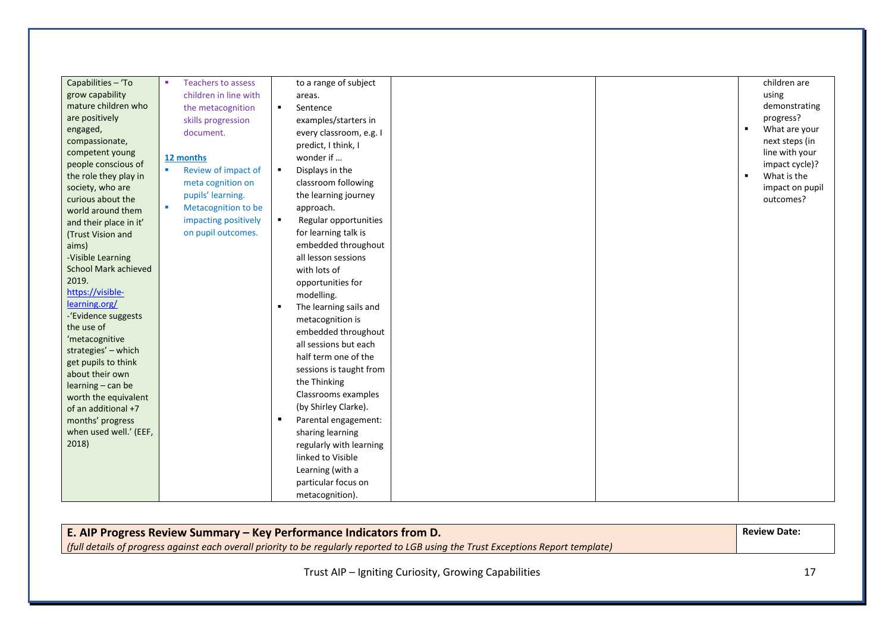| Capabilities - 'To     | <b>Teachers to assess</b><br>٠ | to a range of subject             | children are                    |
|------------------------|--------------------------------|-----------------------------------|---------------------------------|
| grow capability        | children in line with          | areas.                            | using                           |
| mature children who    | the metacognition              | $\blacksquare$<br>Sentence        | demonstrating                   |
| are positively         | skills progression             | examples/starters in              | progress?                       |
| engaged,               | document.                      | every classroom, e.g. I           | What are your<br>$\blacksquare$ |
| compassionate,         |                                | predict, I think, I               | next steps (in                  |
| competent young        | 12 months                      | wonder if                         | line with your                  |
| people conscious of    | Review of impact of<br>×       | Displays in the<br>$\blacksquare$ | impact cycle)?                  |
| the role they play in  | meta cognition on              | classroom following               | What is the<br>$\blacksquare$   |
| society, who are       | pupils' learning.              | the learning journey              | impact on pupil                 |
| curious about the      |                                |                                   | outcomes?                       |
| world around them      | Metacognition to be<br>×       | approach.                         |                                 |
| and their place in it' | impacting positively           | Regular opportunities<br>٠.       |                                 |
| (Trust Vision and      | on pupil outcomes.             | for learning talk is              |                                 |
| aims)                  |                                | embedded throughout               |                                 |
| -Visible Learning      |                                | all lesson sessions               |                                 |
| School Mark achieved   |                                | with lots of                      |                                 |
| 2019.                  |                                | opportunities for                 |                                 |
| https://visible-       |                                | modelling.                        |                                 |
| learning.org/          |                                | The learning sails and            |                                 |
| -'Evidence suggests    |                                | metacognition is                  |                                 |
| the use of             |                                | embedded throughout               |                                 |
| 'metacognitive         |                                | all sessions but each             |                                 |
| strategies' - which    |                                | half term one of the              |                                 |
| get pupils to think    |                                | sessions is taught from           |                                 |
| about their own        |                                | the Thinking                      |                                 |
| learning - can be      |                                | Classrooms examples               |                                 |
| worth the equivalent   |                                | (by Shirley Clarke).              |                                 |
| of an additional +7    |                                |                                   |                                 |
| months' progress       |                                | Parental engagement:              |                                 |
| when used well.' (EEF, |                                | sharing learning                  |                                 |
| 2018)                  |                                | regularly with learning           |                                 |
|                        |                                | linked to Visible                 |                                 |
|                        |                                | Learning (with a                  |                                 |
|                        |                                | particular focus on               |                                 |
|                        |                                | metacognition).                   |                                 |

**E. AIP Progress Review Summary – Key Performance Indicators from D.** *(full details of progress against each overall priority to be regularly reported to LGB using the Trust Exceptions Report template)* **Review Date:**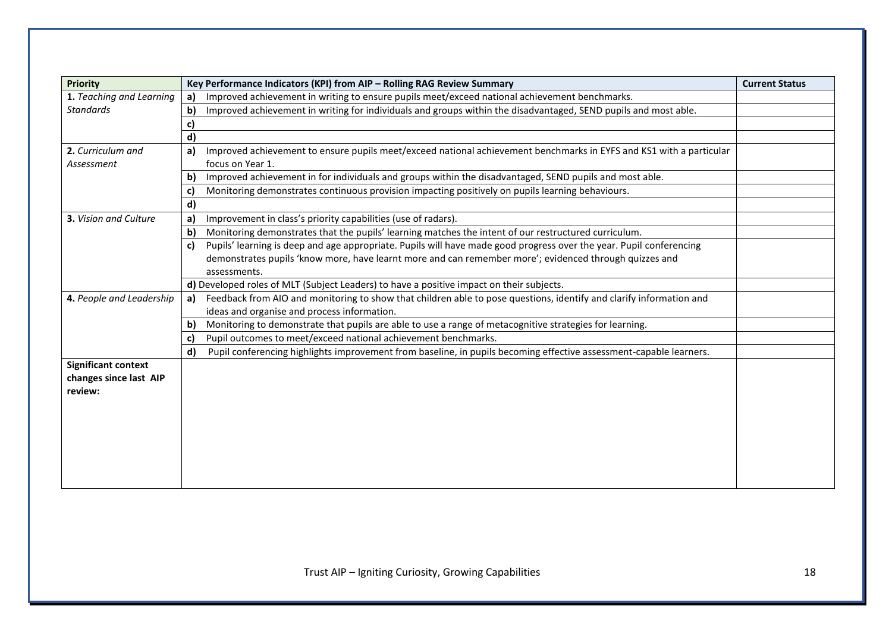| <b>Priority</b>            |              | Key Performance Indicators (KPI) from AIP - Rolling RAG Review Summary                                              | <b>Current Status</b> |
|----------------------------|--------------|---------------------------------------------------------------------------------------------------------------------|-----------------------|
| 1. Teaching and Learning   | a)           | Improved achievement in writing to ensure pupils meet/exceed national achievement benchmarks.                       |                       |
| <b>Standards</b>           | b)           | Improved achievement in writing for individuals and groups within the disadvantaged, SEND pupils and most able.     |                       |
|                            | c)           |                                                                                                                     |                       |
|                            | d)           |                                                                                                                     |                       |
| 2. Curriculum and          | a)           | Improved achievement to ensure pupils meet/exceed national achievement benchmarks in EYFS and KS1 with a particular |                       |
| Assessment                 |              | focus on Year 1.                                                                                                    |                       |
|                            | b)           | Improved achievement in for individuals and groups within the disadvantaged, SEND pupils and most able.             |                       |
|                            | $\mathbf{C}$ | Monitoring demonstrates continuous provision impacting positively on pupils learning behaviours.                    |                       |
|                            | d)           |                                                                                                                     |                       |
| 3. Vision and Culture      | a            | Improvement in class's priority capabilities (use of radars).                                                       |                       |
|                            | $\mathbf{b}$ | Monitoring demonstrates that the pupils' learning matches the intent of our restructured curriculum.                |                       |
|                            | C)           | Pupils' learning is deep and age appropriate. Pupils will have made good progress over the year. Pupil conferencing |                       |
|                            |              | demonstrates pupils 'know more, have learnt more and can remember more'; evidenced through quizzes and              |                       |
|                            |              | assessments.                                                                                                        |                       |
|                            |              | d) Developed roles of MLT (Subject Leaders) to have a positive impact on their subjects.                            |                       |
| 4. People and Leadership   | a)           | Feedback from AIO and monitoring to show that children able to pose questions, identify and clarify information and |                       |
|                            |              | ideas and organise and process information.                                                                         |                       |
|                            | $\mathbf{b}$ | Monitoring to demonstrate that pupils are able to use a range of metacognitive strategies for learning.             |                       |
|                            | C)           | Pupil outcomes to meet/exceed national achievement benchmarks.                                                      |                       |
|                            | d)           | Pupil conferencing highlights improvement from baseline, in pupils becoming effective assessment-capable learners.  |                       |
| <b>Significant context</b> |              |                                                                                                                     |                       |
| changes since last AIP     |              |                                                                                                                     |                       |
| review:                    |              |                                                                                                                     |                       |
|                            |              |                                                                                                                     |                       |
|                            |              |                                                                                                                     |                       |
|                            |              |                                                                                                                     |                       |
|                            |              |                                                                                                                     |                       |
|                            |              |                                                                                                                     |                       |
|                            |              |                                                                                                                     |                       |
|                            |              |                                                                                                                     |                       |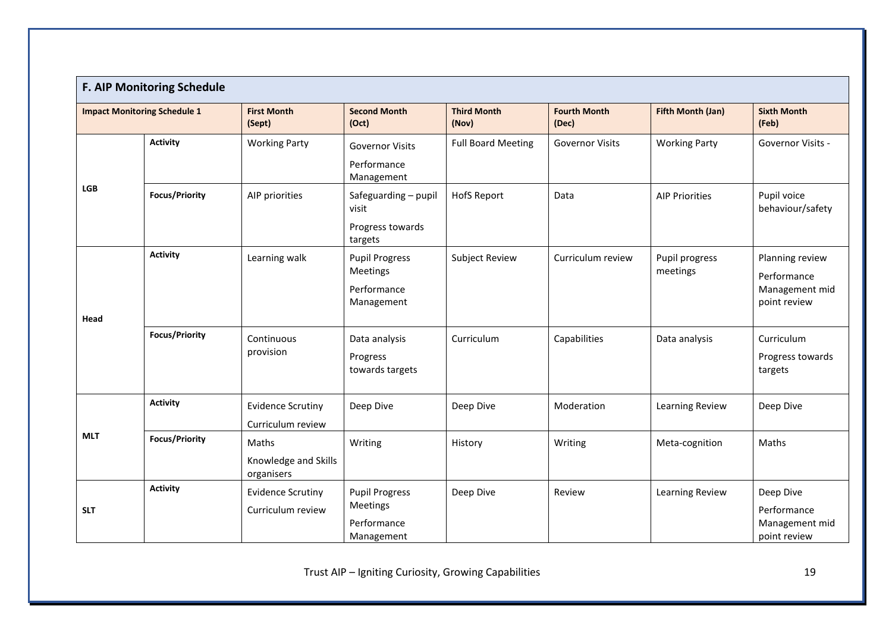|                                     | F. AIP Monitoring Schedule |                                               |                                                                |                             |                              |                            |                                                                  |  |
|-------------------------------------|----------------------------|-----------------------------------------------|----------------------------------------------------------------|-----------------------------|------------------------------|----------------------------|------------------------------------------------------------------|--|
| <b>Impact Monitoring Schedule 1</b> |                            | <b>First Month</b><br>(Sept)                  | <b>Second Month</b><br>(Oct)                                   | <b>Third Month</b><br>(Nov) | <b>Fourth Month</b><br>(Dec) | Fifth Month (Jan)          | <b>Sixth Month</b><br>(Feb)                                      |  |
|                                     | <b>Activity</b>            | <b>Working Party</b>                          | <b>Governor Visits</b><br>Performance<br>Management            | <b>Full Board Meeting</b>   | <b>Governor Visits</b>       | <b>Working Party</b>       | Governor Visits -                                                |  |
| <b>LGB</b>                          | <b>Focus/Priority</b>      | AIP priorities                                | Safeguarding - pupil<br>visit<br>Progress towards<br>targets   | <b>HofS Report</b>          | Data                         | <b>AIP Priorities</b>      | Pupil voice<br>behaviour/safety                                  |  |
| Head                                | <b>Activity</b>            | Learning walk                                 | <b>Pupil Progress</b><br>Meetings<br>Performance<br>Management | <b>Subject Review</b>       | Curriculum review            | Pupil progress<br>meetings | Planning review<br>Performance<br>Management mid<br>point review |  |
|                                     | <b>Focus/Priority</b>      | Continuous<br>provision                       | Data analysis<br>Progress<br>towards targets                   | Curriculum                  | Capabilities                 | Data analysis              | Curriculum<br>Progress towards<br>targets                        |  |
|                                     | <b>Activity</b>            | <b>Evidence Scrutiny</b><br>Curriculum review | Deep Dive                                                      | Deep Dive                   | Moderation                   | Learning Review            | Deep Dive                                                        |  |
| <b>MLT</b>                          | <b>Focus/Priority</b>      | Maths<br>Knowledge and Skills<br>organisers   | Writing                                                        | History                     | Writing                      | Meta-cognition             | Maths                                                            |  |
| <b>SLT</b>                          | <b>Activity</b>            | <b>Evidence Scrutiny</b><br>Curriculum review | <b>Pupil Progress</b><br>Meetings<br>Performance<br>Management | Deep Dive                   | Review                       | Learning Review            | Deep Dive<br>Performance<br>Management mid<br>point review       |  |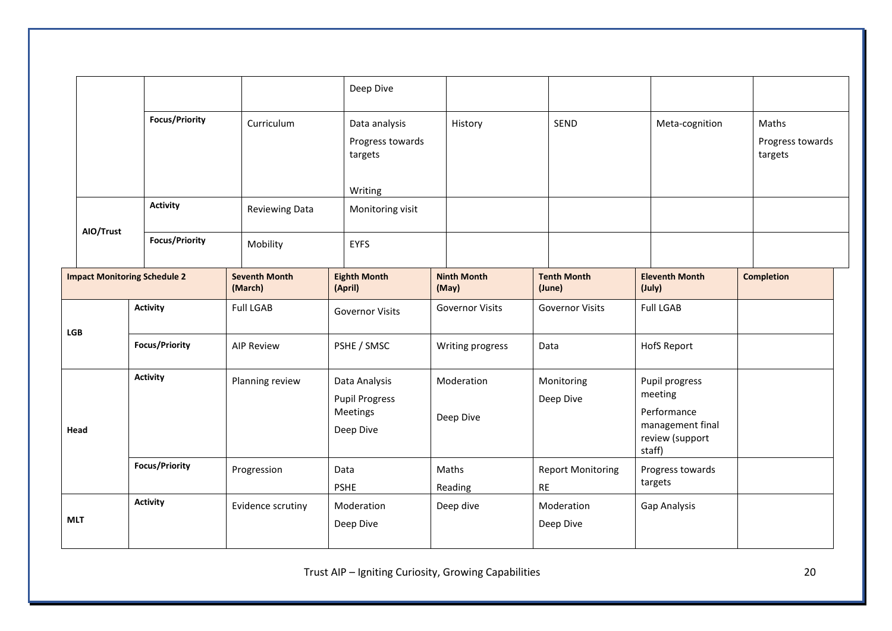|            |                                     |                       |                                 |  | Deep Dive                                                       |                             |  |                                       |                         |                                                                                           |                |                                      |
|------------|-------------------------------------|-----------------------|---------------------------------|--|-----------------------------------------------------------------|-----------------------------|--|---------------------------------------|-------------------------|-------------------------------------------------------------------------------------------|----------------|--------------------------------------|
|            |                                     | <b>Focus/Priority</b> | Curriculum                      |  | Data analysis<br>Progress towards<br>targets<br>Writing         | History                     |  |                                       | SEND                    |                                                                                           | Meta-cognition | Maths<br>Progress towards<br>targets |
|            |                                     | <b>Activity</b>       | <b>Reviewing Data</b>           |  | Monitoring visit                                                |                             |  |                                       |                         |                                                                                           |                |                                      |
|            | AIO/Trust                           | <b>Focus/Priority</b> | Mobility                        |  | <b>EYFS</b>                                                     |                             |  |                                       |                         |                                                                                           |                |                                      |
|            | <b>Impact Monitoring Schedule 2</b> |                       | <b>Seventh Month</b><br>(March) |  | <b>Eighth Month</b><br>(April)                                  | <b>Ninth Month</b><br>(May) |  | <b>Tenth Month</b><br>(June)          |                         | <b>Eleventh Month</b><br>(July)                                                           |                | <b>Completion</b>                    |
|            |                                     | <b>Activity</b>       | <b>Full LGAB</b>                |  | <b>Governor Visits</b>                                          | <b>Governor Visits</b>      |  | <b>Governor Visits</b>                |                         | <b>Full LGAB</b>                                                                          |                |                                      |
| <b>LGB</b> |                                     | <b>Focus/Priority</b> | <b>AIP Review</b>               |  | PSHE / SMSC                                                     | Writing progress            |  | Data                                  |                         | <b>HofS Report</b>                                                                        |                |                                      |
| Head       |                                     | <b>Activity</b>       | Planning review                 |  | Data Analysis<br><b>Pupil Progress</b><br>Meetings<br>Deep Dive | Moderation<br>Deep Dive     |  | Monitoring<br>Deep Dive               |                         | Pupil progress<br>meeting<br>Performance<br>management final<br>review (support<br>staff) |                |                                      |
|            |                                     | <b>Focus/Priority</b> | Progression                     |  | Data<br><b>PSHE</b>                                             | Maths<br>Reading            |  | <b>Report Monitoring</b><br><b>RE</b> |                         | Progress towards<br>targets                                                               |                |                                      |
| <b>MLT</b> |                                     | <b>Activity</b>       | Evidence scrutiny               |  | Moderation<br>Deep Dive                                         | Deep dive                   |  |                                       | Moderation<br>Deep Dive | Gap Analysis                                                                              |                |                                      |